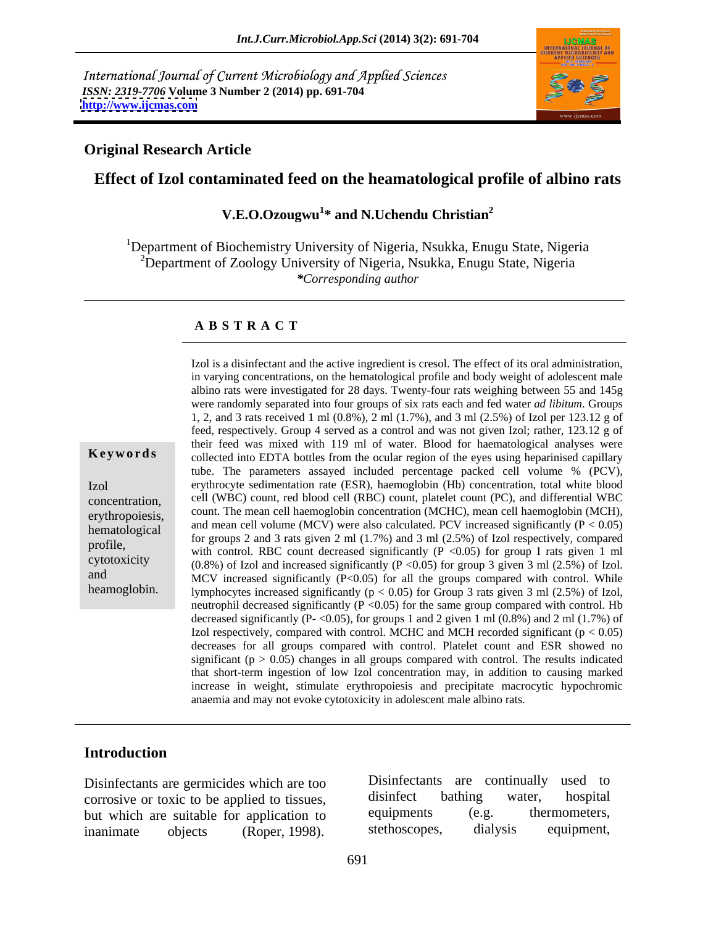International Journal of Current Microbiology and Applied Sciences *ISSN: 2319-7706* **Volume 3 Number 2 (2014) pp. 691-704 <http://www.ijcmas.com>**



#### **Original Research Article**

### **Effect of Izol contaminated feed on the heamatological profile of albino rats**

### **V.E.O.Ozougwu<sup>1</sup> \* and N.Uchendu Christian<sup>2</sup>**

<sup>1</sup>Department of Biochemistry University of Nigeria, Nsukka, Enugu State, Nigeria <sup>2</sup>Department of Zoology University of Nigeria, Nsukka, Enugu State, Nigeria *\*Corresponding author* 

#### **A B S T R A C T**

**Keywords** collected into EDTA bottles from the ocular region of the eyes using heparinised capillary Izol erythrocyte sedimentation rate (ESR), haemoglobin (Hb) concentration, total white blood concentration, cell (WBC) count, red blood cell (RBC) count, platelet count (PC), and differential WBC erythropoiesis, count. The mean cell haemoglobin concentration (MCHC), mean cell haemoglobin (MCH),  $\epsilon$  and mean cell volume (MCV) were also calculated. PCV increased significantly (P < 0.05)<br>hematological  $\epsilon$  and mean cell volume 2 and 2 and 2 and 2 and 2 and 2  $\epsilon$  and 2 and 2 and 2 and 2 and 2 and 2 and 2 and 2 and profile,<br>with control. RBC count decreased significantly  $(P < 0.05)$  for group I rats given 1 ml cytotoxicity  $(0.8\%)$  of Izol and increased significantly  $(P < 0.05)$  for group 3 given 3 ml (2.5%) of Izol. and MCV increased significantly (P<0.05) for all the groups compared with control. While heamoglobin. lymphocytes increased significantly ( $p < 0.05$ ) for Group 3 rats given 3 ml (2.5%) of Izol, in varying concentrations, on the hematological profile and body weight of adolescent male albino rats were investigated for 28 days. Twenty-four rats weighing between 55 and 145g were randomly separated into four groups of six rats each and fed water *ad libitum*. Groups 1, 2, and 3 rats received 1 ml (0.8%), 2 ml (1.7%), and 3 ml (2.5%) of Izol per 123.12 g of feed, respectively. Group 4 served as a control and was not given Izol; rather, 123.12 g of their feed was mixed with 119 ml of water. Blood for haematological analyses were tube. The parameters assayed included percentage packed cell volume % (PCV), for groups 2 and 3 rats given 2 ml (1.7%) and 3 ml (2.5%) of Izol respectively, compared neutrophil decreased significantly  $(P \le 0.05)$  for the same group compared with control. Hb decreased significantly (P- $\langle 0.05 \rangle$ , for groups 1 and 2 given 1 ml (0.8%) and 2 ml (1.7%) of Izol respectively, compared with control. MCHC and MCH recorded significant ( $p < 0.05$ ) decreases for all groups compared with control. Platelet count and ESR showed no significant ( $p > 0.05$ ) changes in all groups compared with control. The results indicated that short-term ingestion of low Izol concentration may, in addition to causing marked increase in weight, stimulate erythropoiesis and precipitate macrocytic hypochromic anaemia and may not evoke cytotoxicity in adolescent male albino rats.

Izol is a disinfectant and the active ingredient is cresol. The effect of its oral administration,

#### **Introduction**

inanimate objects (Roper, 1998).

Disinfectants are germicides which are too <br>continually used to corrosive or toxic to be annualed to tissues disinfect bathing water, hospital corrosive or toxic to be applied to tissues, disinfect bathing water, hospital<br>but which are suitable for application to equipments (e.g. thermometers, but which are suitable for application to equipments (e.g. thermometers, inanimate objects (Roper 1998) stethoscopes, dialysis equipment, Disinfectants are continually disinfect bathing water, hospital equipments (e.g. thermometers, stethoscopes, dialysis equipment,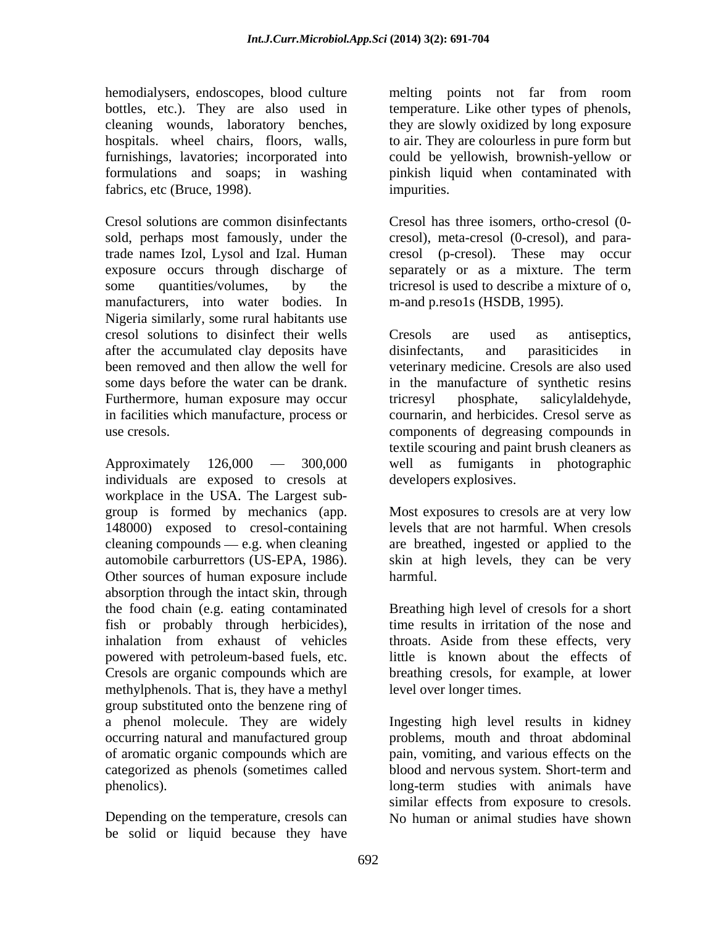hemodialysers, endoscopes, blood culture bottles, etc.). They are also used in temperature. Like other types of phenols, cleaning wounds, laboratory benches, they are slowly oxidized by long exposure hospitals. wheel chairs, floors, walls, to air. They are colourless in pure form but furnishings, lavatories; incorporated into could be yellowish, brownish-yellow or formulations and soaps; in washing pinkish liquid when contaminated with fabrics, etc (Bruce, 1998). impurities.

Cresol solutions are common disinfectants Cresol has three isomers, ortho-cresol (0 sold, perhaps most famously, under the cresol), meta-cresol (0-cresol), and para trade names Izol, Lysol and Izal. Human cresol (p-cresol). These may occur exposure occurs through discharge of separately or as a mixture. The term some quantities/volumes, by the tricresol is used to describe a mixture of o, manufacturers, into water bodies. In m-and p.reso1s (HSDB, 1995). Nigeria similarly, some rural habitants use cresol solutions to disinfect their wells after the accumulated clay deposits have disinfectants, and parasiticides in been removed and then allow the well for veterinary medicine. Cresols are also used some days before the water can be drank. in the manufacture of synthetic resins Furthermore, human exposure may occur tricresyl phosphate, in facilities which manufacture, process or cournarin, and herbicides. Cresol serve as

individuals are exposed to cresols at workplace in the USA. The Largest sub group is formed by mechanics (app. 148000) exposed to cresol-containing levels that are not harmful. When cresols cleaning compounds  $-$  e.g. when cleaning automobile carburrettors (US-EPA, 1986). skin at high levels, they can be very Other sources of human exposure include harmful. absorption through the intact skin, through the food chain (e.g. eating contaminated fish or probably through herbicides), inhalation from exhaust of vehicles throats. Aside from these effects, very powered with petroleum-based fuels, etc. Cresols are organic compounds which are breathing cresols, for example, at lower methylphenols. That is, they have a methyl group substituted onto the benzene ring of a phenol molecule.They are widely occurring natural and manufactured group problems, mouth and throat abdominal of aromatic organic compounds which are pain, vomiting, and various effects on the categorized as phenols (sometimes called blood and nervous system. Short-term and

Depending on the temperature, cresols can No human or animal studies have shownbe solid or liquid because they have

melting points not far from room impurities.

tricresol is used to describe <sup>a</sup> mixture of o, m-and p.reso1s (HSDB, 1995).

use cresols. components of degreasing compounds in Approximately 126,000 — 300,000 well as fumigants in photographic Cresols are used as antiseptics, disinfectants, and parasiticides in salicylaldehyde, textile scouring and paint brush cleaners as developers explosives.

> Most exposures to cresols are at very low are breathed, ingested or applied to the harmful.

Breathing high level of cresols for a short time results in irritation of the nose and little is known about the effects of level over longer times.

phenolics). long-term studies with animals have Ingesting high level results in kidney similar effects from exposure to cresols.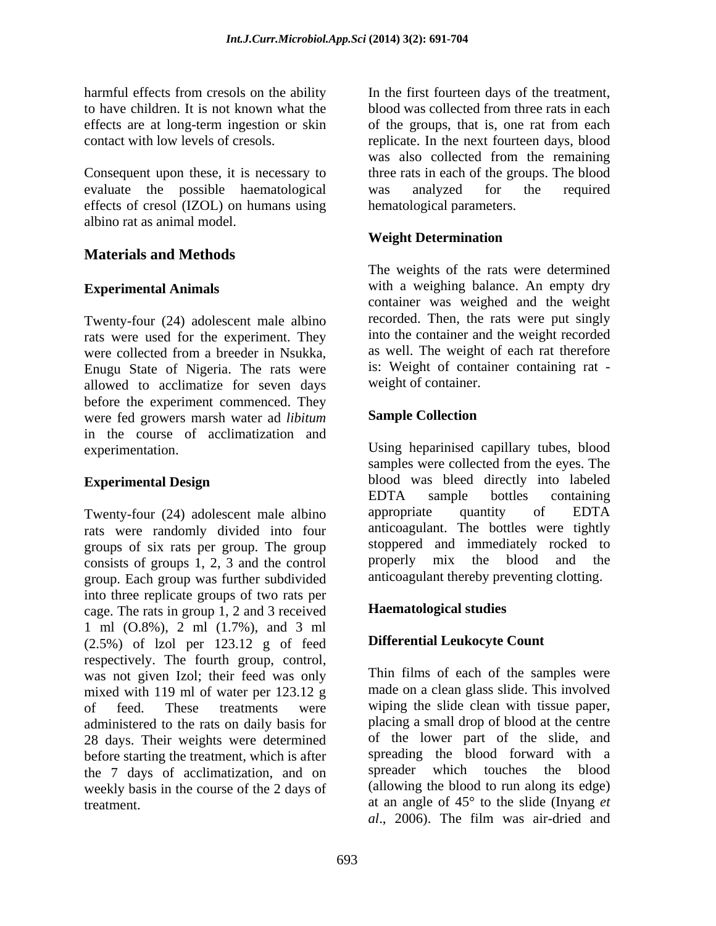Consequent upon these, it is necessary to evaluate the possible haematological effects of cresol (IZOL) on humans using albino rat as animal model.

## **Materials and Methods**

Twenty-four (24) adolescent male albino rats were used for the experiment. They were collected from a breeder in Nsukka, Enugu State of Nigeria. The rats were allowed to acclimatize for seven days before the experiment commenced. They<br>were fed growers marsh water ad *libitum* Sample Collection were fed growers marsh water ad *libitum* in the course of acclimatization and

rats were randomly divided into four groups of six rats per group. The group consists of groups 1, 2, 3 and the control group. Each group was further subdivided into three replicate groups of two rats per<br>case The rats in group 1.2 and 3 received **Haematological studies** cage. The rats in group 1, 2 and 3 received 1 ml (O.8%), 2 ml (1.7%), and 3 ml (2.5%) of lzol per 123.12 g of feed respectively. The fourth group, control, was not given Izol; their feed was only mixed with 119 ml of water per 123.12 g of feed. These treatments were wiping the slide clean with tissue paper, administered to the rats on daily basis for 28 days. Their weights were determined before starting the treatment, which is after the 7 days of acclimatization, and on weekly basis in the course of the 2 days of

harmful effects from cresols on the ability has the first fourteen days of the treatment, to have children. It is not known what the blood was collected from three rats in each effects are at long-term ingestion or skin of the groups, that is, one rat from each contact with low levels of cresols. replicate. In the next fourteen days, blood In the first fourteen days of the treatment, was also collected from the remaining three rats in each of the groups. The blood was analyzed for the required hematological parameters.

### **Weight Determination**

**Experimental Animals** with a weighing balance. An empty dry The weights of the rats were determined container was weighed and the weight recorded. Then, the rats were put singly into the container and the weight recorded as well. The weight of each rat therefore is: Weight of container containing rat weight of container.

### **Sample Collection**

experimentation. Using heparinised capillary tubes, blood samples were collected from the eyes. The<br>**Experimental Design** expansion blood was bleed directly into labeled Twenty-four (24) adolescent male albino appropriate quantity of EDTA samples were collected from the eyes. The blood was bleed directly into labeled EDTA sample bottles containing appropriate quantity of EDTA anticoagulant. The bottles were tightly stoppered and immediately rocked to properly mix the blood and the anticoagulant thereby preventing clotting.

# **Haematological studies**

### **Differential Leukocyte Count**

treatment. at an angle of 45° to the slide (Inyang *et*  Thin films of each of the samples were made on a clean glass slide. This involved placing a small drop of blood at the centre of the lower part of the slide, and spreading the blood forward with a spreader which touches the blood (allowing the blood to run along its edge) *al*., 2006). The film was air-dried and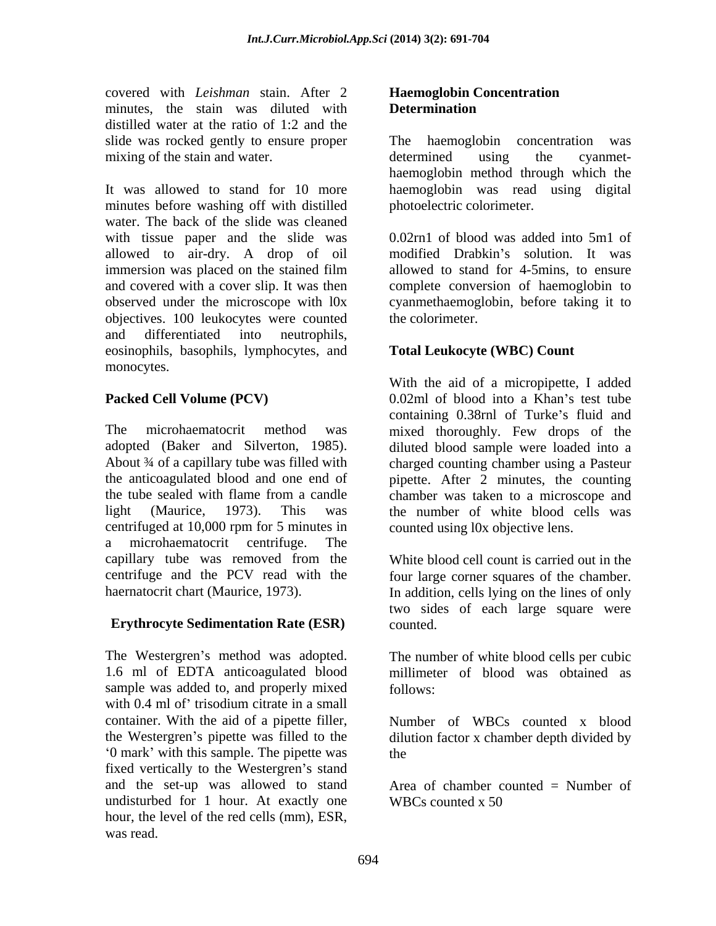covered with *Leishman* stain. After 2 minutes, the stain was diluted with **Determination** distilled water at the ratio of 1:2 and the slide was rocked gently to ensure proper The haemoglobin concentration was mixing of the stain and water. The determined using the cyanmet-

It was allowed to stand for 10 more haemoglobin was read using digital minutes before washing off with distilled water. The back of the slide was cleaned with tissue paper and the slide was allowed to air-dry. A drop of oil immersion was placed on the stained film allowed to stand for 4-5mins, to ensure and covered with a cover slip. It was then complete conversion of haemoglobin to observed under the microscope with  $10x$  cyanmethaemoglobin, before taking it to objectives. 100 leukocytes were counted and differentiated into neutrophils, eosinophils, basophils, lymphocytes, and monocytes.

The microhaematocrit method was mixed thoroughly. Few drops of the adopted (Baker and Silverton, 1985). diluted blood sample were loaded into a About <sup>3</sup>/4 of a capillary tube was filled with charged counting chamber using a Pasteur the anticoagulated blood and one end of pipette. After 2 minutes, the counting the tube sealed with flame from a candle chamber was taken to a microscope and light (Maurice, 1973). This was the number of white blood cells was centrifuged at 10,000 rpm for 5 minutes in a microhaematocrit centrifuge. The capillary tube was removed from the White blood cell count is carried out in the centrifuge and the PCV read with the four large corner squares of the chamber.

### **Erythrocyte Sedimentation Rate (ESR)**

The Westergren's method was adopted. 1.6 ml of EDTA anticoagulated blood millimeter of blood was obtained as sample was added to, and properly mixed follows: with 0.4 ml of' trisodium citrate in a small container. With the aid of a pipette filler, Number of WBCs counted x blood the Westergren's pipette was filled to the dilution factor x chamber depth divided by 0 mark with this sample. The pipette was fixed vertically to the Westergren's stand and the set-up was allowed to stand undisturbed for 1 hour. At exactly one hour, the level of the red cells (mm), ESR, was read.

### **Haemoglobin Concentration Determination**

The haemoglobin concentration was determined using the cyanmet haemoglobin method through which the photoelectric colorimeter.

0.02rn1 of blood was added into 5m1 of modified Drabkin's solution. It was the colorimeter.

## **Total Leukocyte (WBC) Count**

**Packed Cell Volume (PCV)** 0.02ml of blood into a Khan's test tube With the aid of a micropipette, I added containing 0.38rnl of Turke's fluid and counted using l0x objective lens.

haernatocrit chart (Maurice, 1973). In addition, cells lying on the lines of only two sides of each large square were counted.

> The number of white blood cells per cubic follows:

the state of the state of the state of the state of the state of the state of the state of the state of the state of the state of the state of the state of the state of the state of the state of the state of the state of t

Area of chamber counted  $=$  Number of WBCs counted x 50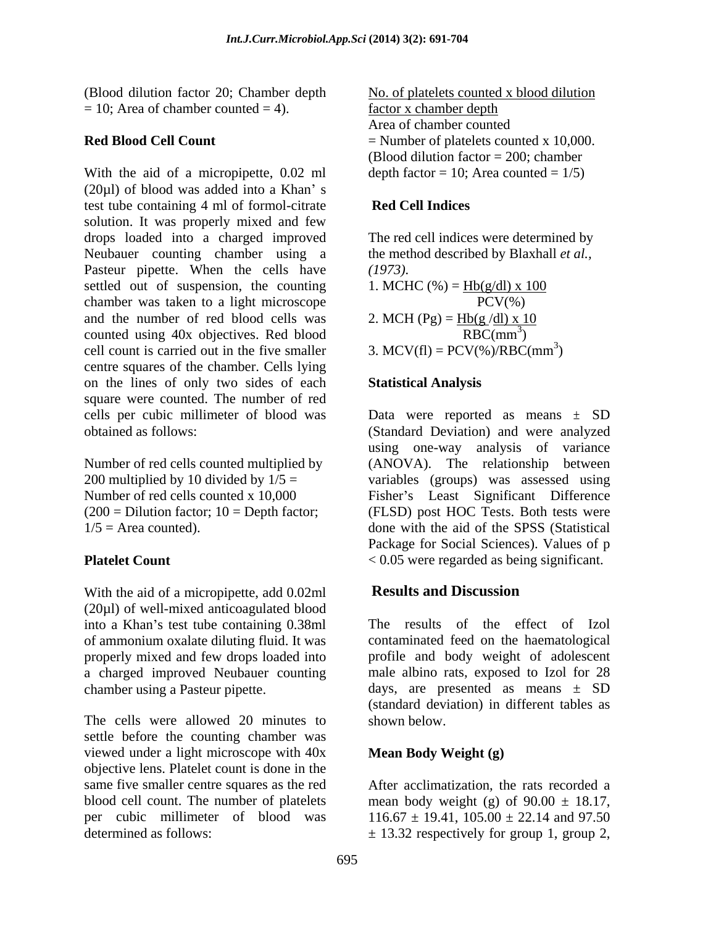(Blood dilution factor 20; Chamber depth  $= 10$ ; Area of chamber counted  $= 4$ ).

With the aid of a micropipette, 0.02 ml  $(20\mu l)$  of blood was added into a Khan's test tube containing 4 ml of formol-citrate solution. It was properly mixed and few drops loaded into a charged improved Neubauer counting chamber using a Pasteur pipette. When the cells have (1973). settled out of suspension, the counting chamber was taken to a light microscope  $PCV(\%)$ and the number of red blood cells was counted using  $40x$  objectives. Red blood RBC(mm<sup>3</sup>) cell count is carried out in the five smaller centre squares of the chamber. Cells lying on the lines of only two sides of each square were counted. The number of red cells per cubic millimeter of blood was Data were reported as means *±* SD

With the aid of a micropipette, add 0.02ml **Results and Discussion** (20µl) of well-mixed anticoagulated blood into a Khan's test tube containing 0.38ml a charged improved Neubauer counting

The cells were allowed 20 minutes to shown below. settle before the counting chamber was viewed under a light microscope with  $40x$  Mean Body Weight (g) objective lens. Platelet count is done in the same five smaller centre squares as the red After acclimatization, the rats recorded a blood cell count. The number of platelets mean body weight (g) of  $90.00 \pm 18.17$ , per cubic millimeter of blood was  $116.67 \pm 19.41$ ,  $105.00 \pm 22.14$  and  $97.50$ 

Area of chamber counted<br>
Red Blood Cell Count
<br>  $=$  Number of platelets counted x 10,000. No. of platelets counted x blood dilution factor x chamber depth (Blood dilution factor = 200; chamber depth factor = 10; Area counted =  $1/5$ )

## **Red Cell Indices**

The red cell indices were determined by the method described by Blaxhall *et al., (1973).*  1. MCHC  $(\% )$  = Hb(g/dl) x 100  $PCV(\% )$ 2. MCH (Pg) = Hb(g/dl) x 10  $RBC(mm^3)$ ) and the contract of  $\overline{a}$ 3. MCV(fl) =  $PCV$ (%)/RBC(mm<sup>3</sup>) ) and the set of  $\mathcal{L}$  and  $\mathcal{L}$  and  $\mathcal{L}$  and  $\mathcal{L}$  and  $\mathcal{L}$  and  $\mathcal{L}$  and  $\mathcal{L}$  and  $\mathcal{L}$  and  $\mathcal{L}$  and  $\mathcal{L}$  and  $\mathcal{L}$  and  $\mathcal{L}$  and  $\mathcal{L}$  and  $\mathcal{L}$  and  $\mathcal{L}$  and  $\mathcal{L}$ 

### **Statistical Analysis**

obtained as follows: (Standard Deviation) and were analyzed Number of red cells counted multiplied by (ANOVA). The relationship between 200 multiplied by 10 divided by 1/5 = variables (groups) was assessed using Number of red cells counted x 10,000 Fisher's Least Significant Difference  $(200 = \text{Dilution factor}; 10 = \text{Depth factor};$  (FLSD) post HOC Tests. Both tests were  $1/5$  = Area counted).  $\qquad \qquad$  done with the aid of the SPSS (Statistical **Platelet Count**  $< 0.05$  were regarded as being significant. using one-way analysis of variance Package for Social Sciences). Values of p

### **Results and Discussion**

of ammonium oxalate diluting fluid. It was contaminated feed on the haematological properly mixed and few drops loaded into profile and body weight of adolescent chamber using a Pasteur pipette. days, are presented as means ± SD The results of the effect of Izol male albino rats, exposed to Izol for 28 (standard deviation) in different tables as shown below.

# **Mean Body Weight (g)**

determined as follows: ± 13.32 respectively for group 1, group 2,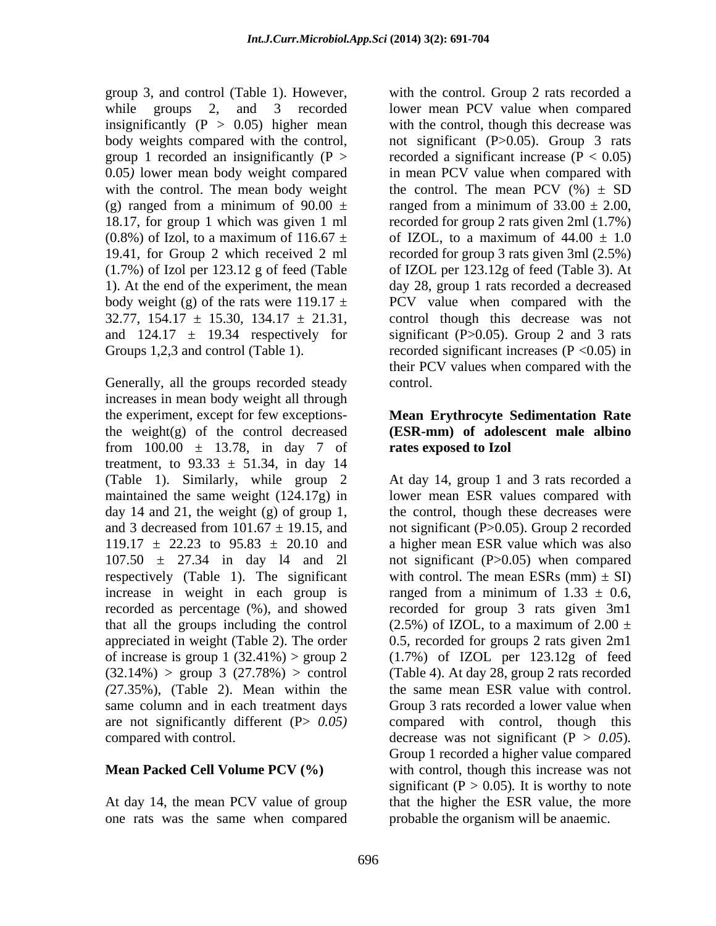group 3, and control (Table 1). However, with the control. Group 2 rats recorded a

Generally, all the groups recorded steady control. increases in mean body weight all through the experiment, except for few exceptionsthe weight(g) of the control decreased **(ESR-mm) of adolescent male albino** from  $100.00 \pm 13.78$ , in day 7 of treatment, to  $93.33 \pm 51.34$ , in day 14 (Table 1). Similarly, while group 2 At day 14, group 1 and 3 rats recorded a maintained the same weight (124.17g) in lower mean ESR values compared with day 14 and 21, the weight (g) of group 1, the control, though these decreases were and 3 decreased from  $101.67 \pm 19.15$ , and not significant (P $> 0.05$ ). Group 2 recorded 119.17  $\pm$  22.23 to 95.83  $\pm$  20.10 and a higher mean ESR value which was also  $107.50 \pm 27.34$  in day 14 and 21 not significant (P $>0.05$ ) when compared respectively (Table 1). The significant with control. The mean ESRs  $(nm) \pm SI$ ) increase in weight in each group is ranged from a minimum of  $1.33 \pm 0.6$ , recorded as percentage (%), and showed recorded for group 3 rats given 3m1 that all the groups including the control  $(2.5\%)$  of IZOL, to a maximum of 2.00  $\pm$ appreciated in weight (Table 2). The order of increase is group  $1(32.41\%) >$  group  $2(1.7\%)$  of IZOL per 123.12g of feed  $(32.14\%)$  > group 3  $(27.78\%)$  > control *(*27.35%), (Table 2). Mean within the same column and in each treatment days Group 3 rats recorded a lower value when are not significantly different (P> *0.05)*  compared with control, though this

At day 14, the mean PCV value of group one rats was the same when compared

while groups 2, and 3 recorded lower mean PCV value when compared insignificantly  $(P > 0.05)$  higher mean with the control, though this decrease was body weights compared with the control, not significant (P>0.05). Group 3 rats group 1 recorded an insignificantly  $(P >$  recorded a significant increase  $(P < 0.05)$ 0.05*)* lower mean body weight compared in mean PCV value when compared with with the control. The mean body weight the control. The mean PCV  $(\%) \pm SD$ (g) ranged from a minimum of  $90.00 \pm$  ranged from a minimum of  $33.00 \pm 2.00$ , 18.17, for group 1 which was given 1 ml recorded for group 2 rats given 2ml (1.7%)  $(0.8\%)$  of Izol, to a maximum of 116.67  $\pm$  of IZOL, to a maximum of 44.00  $\pm$  1.0 19.41, for Group 2 which received 2 ml recorded for group 3 rats given 3ml (2.5%) (1.7%) of Izol per 123.12 g of feed (Table of IZOL per 123.12g of feed (Table 3). At 1). At the end of the experiment, the mean day 28, group 1 rats recorded a decreased body weight (g) of the rats were  $119.17 \pm$  PCV value when compared with the 32.77, 154.17  $\pm$  15.30, 134.17  $\pm$  21.31, control though this decrease was not and  $124.17 \pm 19.34$  respectively for significant (P $>0.05$ ). Group 2 and 3 rats Groups 1,2,3 and control (Table 1). recorded significant increases (P < 0.05) in their PCV values when compared with the control.

## **Mean Erythrocyte Sedimentation Rate rates exposed to Izol**

compared with control. decrease was not significant (P *> 0.05*)*.* **Mean Packed Cell Volume PCV (%)** with control, though this increase was not 0.5*,* recorded for groups 2 rats given 2m1 (Table 4). At day 28, group 2 rats recorded the same mean ESR value with control. Group 1 recorded a higher value compared significant ( $P > 0.05$ ). It is worthy to note that the higher the ESR value, the more probable the organism will be anaemic.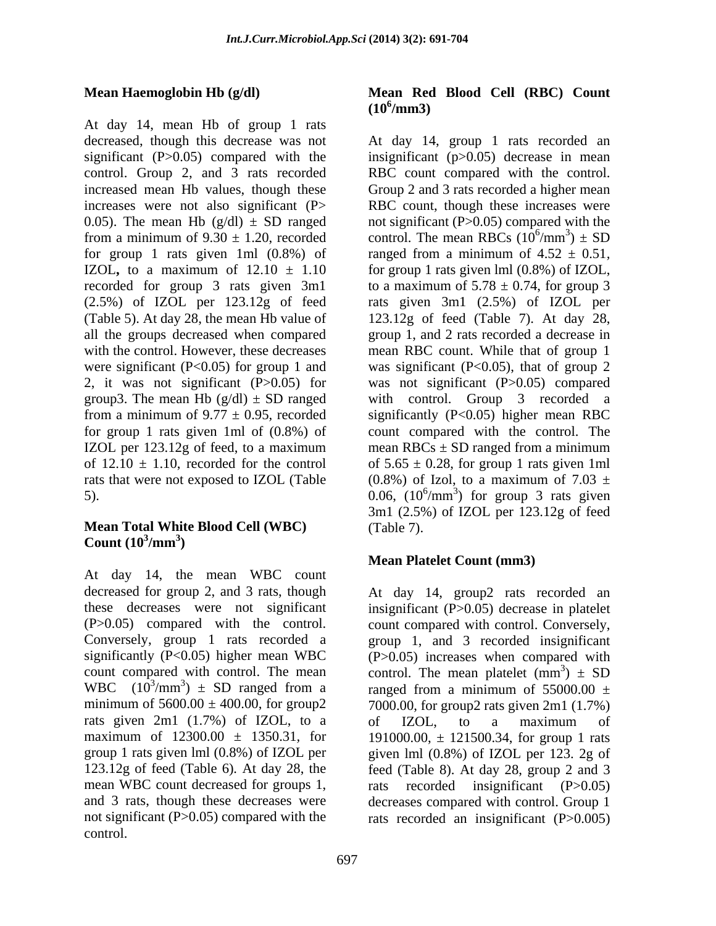At day 14, mean Hb of group 1 rats decreased, though this decrease was not At day 14, group 1 rats recorded an significant (P>0.05) compared with the insignificant (p>0.05) decrease in mean control. Group 2, and 3 rats recorded RBC count compared with the control. increased mean Hb values, though these Group 2 and 3 rats recorded a higher mean increases were not also significant (P> RBC count, though these increases were 0.05). The mean Hb  $(g/dl) \pm SD$  ranged not significant (P $> 0.05$ ) compared with the from a minimum of  $9.30 \pm 1.20$ , recorded for group 1 rats given 1ml  $(0.8\%)$  of ranged from a minimum of  $4.52 \pm 0.51$ , IZOL, to a maximum of  $12.10 \pm 1.10$  for group 1 rats given lml  $(0.8\%)$  of IZOL, recorded for group 3 rats given  $3ml$  to a maximum of  $5.78 \pm 0.74$ , for group 3 (2.5%) of IZOL per 123.12g of feed (Table 5). At day 28, the mean Hb value of 123.12g of feed (Table 7). At day 28, all the groups decreased when compared group 1, and 2 rats recorded a decrease in with the control. However, these decreases mean RBC count. While that of group 1 were significant (P<0.05) for group 1 and was significant (P<0.05), that of group 2 2, it was not significant (P>0.05) for was not significant (P>0.05) compared group3. The mean Hb  $(g/dl) \pm SD$  ranged with control. Group 3 recorded a from a minimum of 9.77 ± 0.95*,* recorded significantly (P<0.05) higher mean RBC for group 1 rats given 1ml of (0.8%) of count compared with the control. The IZOL per 123.12g of feed, to a maximum mean  $RBCs \pm SD$  ranged from a minimum of  $12.10 \pm 1.10$ , recorded for the control of  $5.65 \pm 0.28$ , for group 1 rats given 1ml rats that were not exposed to IZOL (Table  $(0.8\%)$  of Izol, to a maximum of 7.03  $\pm$ 5).  $0.06, (10^6/\text{mm}^3)$  for group 3 rats given

#### **Mean Total White Blood Cell (WBC)** (Table 7). **Count**  $(10^3/\text{mm}^3)$ **/mm<sup>3</sup> )**

At day 14, the mean WBC count significantly (P<0.05) higher mean WBC rats given 2m1 (1.7%) of IZOL, to a correct to a maximum of mean WBC count decreased for groups 1, rats not significant (P>0.05) compared with the rats recorded an insignificant (P>0.005) control.

#### **Mean Haemoglobin Hb (g/dl) Mean Red Blood Cell (RBC) Count (10<sup>6</sup> /mm3)**

control. The mean RBCs  $(10^6/\text{mm}^3) \pm SD$  $^{6}/\text{mm}^{3}$   $\sqrt{5}$  $(\text{mm}^3) \pm \text{SD}$  $) \pm SD$ ranged from a minimum of  $4.52 \pm 0.51$ , rats given 3m1 (2.5%) of IZOL per  $(0.8\%)$  of Izol, to a maximum of 7.03  $\pm$ ) for group 3 rats given 3m1 (2.5%) of IZOL per 123.12g of feed (Table 7).

# **Mean Platelet Count (mm3)**

decreased for group 2, and 3 rats, though At day 14, group2 rats recorded an these decreases were not significant insignificant (P>0.05) decrease in platelet (P>0.05) compared with the control. count compared with control. Conversely, Conversely, group 1 rats recorded a group 1, and 3 recorded insignificant count compared with control. The mean control. The mean platelet  $(mm^3) \pm SD$ WBC  $(10^3/\text{mm}^3) \pm$  SD ranged from a minimum or  $(55000.00 \pm$ minimum of  $5600.00 \pm 400.00$ , for group2  $7000.00$ , for group2 rats given 2m1 (1.7%) maximum of 12300.00 ± 1350.31*,* for 191000.00, ± 121500.34, for group 1 rats group 1 rats given lml (0.8%) of IZOL per given lml (0.8%) of IZOL per 123. 2g of 123.12g of feed (Table 6)*.* At day 28, the feed (Table 8). At day 28, group 2 and 3 and 3 rats, though these decreases were decreases compared with control. Group 1 (P>0.05) increases when compared with  $3\sqrt{3}$  $) \pm SD$ of IZOL, to a maximum of recorded insignificant  $(P>0.05)$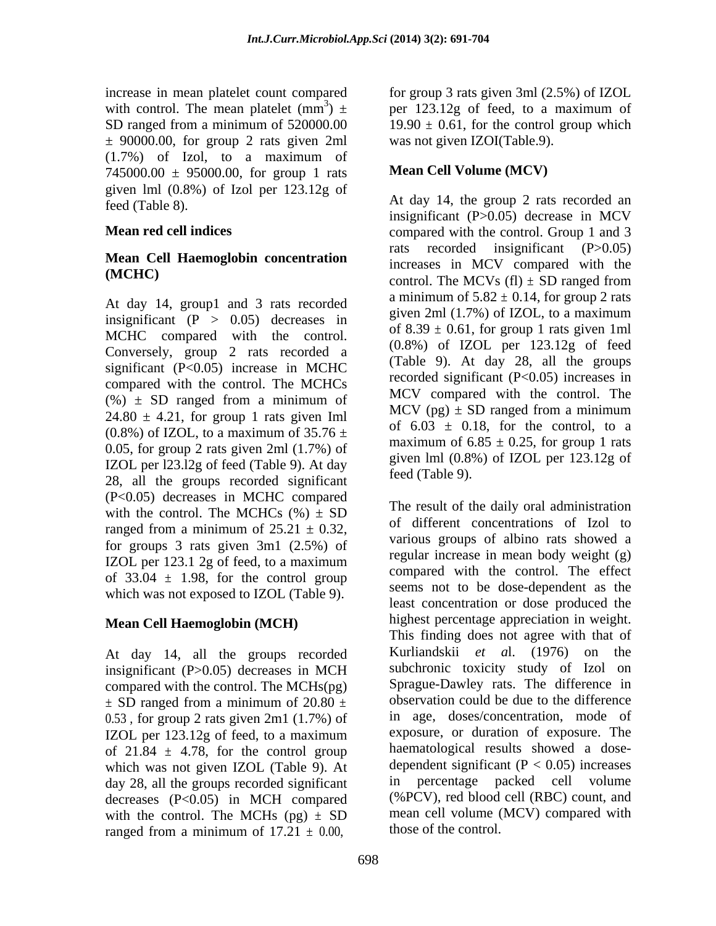increase in mean platelet count compared for group 3 rats given 3ml (2.5%) of IZOL with control. The mean platelet  $(nm^3)$   $\pm$  per 123.12g of feed, to a maximum of SD ranged from a minimum of  $520000.00$  19.90  $\pm$  0.61, for the control group which  $\pm$  90000.00, for group 2 rats given 2ml (1.7%) of Izol, to a maximum of  $745000.00 \pm 95000.00$ , for group 1 rats Mean Cell Volume (MCV) given lml (0.8%) of Izol per 123.12g of

At day 14, group1 and 3 rats recorded<br>including 2 and  $\frac{1}{2}$  and  $\frac{1}{2}$  rate of  $\frac{1}{2}$  and  $\frac{1}{2}$  and  $\frac{1}{2}$  and  $\frac{1}{2}$  and  $\frac{1}{2}$  and  $\frac{1}{2}$  and  $\frac{1}{2}$  and  $\frac{1}{2}$  and  $\frac{1}{2}$  and  $\frac{1}{2}$ insignificant  $(P > 0.05)$  decreases in MCHC compared with the control. Conversely, group 2 rats recorded a significant  $(P<0.05)$  increase in MCHC compared with the control. The MCHCs  $(\%) \pm SD$  ranged from a minimum of  $24.80 \pm 4.21$ , for group 1 rats given Iml (0.8%) of IZOL, to a maximum of  $35.76 \pm$ 0.05, for group 2 rats given 2ml (1.7%) of IZOL per l23.l2g of feed (Table 9). At day 28, all the groups recorded significant (P<0.05) decreases in MCHC compared with the control. The MCHCs  $(\% ) \pm SD$ ranged from a minimum of  $25.21 \pm 0.32$ , for groups 3 rats given 3m1 (2.5%) of IZOL per 123.1 2g of feed, to a maximum of  $33.04 \pm 1.98$ , for the control group which was not exposed to IZOL (Table 9).

### **Mean Cell Haemoglobin (MCH)**

At day 14, all the groups recorded insignificant (P>0.05) decreases in MCH compared with the control. The MCHs(pg) 0.53 *,* for group 2 rats given 2m1 (1.7%) of IZOL per 123.12g of feed, to a maximum of  $21.84 \pm 4.78$ , for the control group which was not given IZOL (Table 9). At day 28, all the groups recorded significant decreases (P<0.05) in MCH compared with the control. The MCHs (pg) *±* SD ranged from a minimum of  $17.21 \pm 0.00$ ,

 $^{3})$  ± per 123.12g of feed, to a maximum of per 123.12g of feed, to a maximum of  $19.90 \pm 0.61$ , for the control group which was not given IZOI(Table.9).

# **Mean Cell Volume (MCV)**

 $f$  feed (Table 8). At day 14, the group 2 rats recorded an  $f$  and  $f$  and  $f$  and  $f$  and  $f$  and  $f$  and  $f$  and  $f$  and  $f$  and  $f$  and  $f$  and  $f$  and  $f$  and  $f$  and  $f$  and  $f$  and  $f$  and  $f$  and  $f$  and  $f$  and **Mean red cell indices**  compared with the control. Group 1 and 3 **Mean Cell Haemoglobin concentration** rats recorded insignificant (P>0.05) (MCHC)  $\qquad \qquad \text{control. The MCVs (fl)  $\pm$  SD ranged from$ insignificant (P>0.05) decrease in MCV rats recorded insignificant (P>0.05) increases in MCV compared with the control. The MCVs (fl) *±* SD ranged from a minimum of  $5.82 \pm 0.14$ , for group 2 rats given 2ml (1.7%) of IZOL, to a maximum of  $8.39 \pm 0.61$ , for group 1 rats given 1ml (0.8%) of IZOL per 123.12g of feed (Table 9). At day 28, all the groups recorded significant (P<0.05) increases in MCV compared with the control. The MCV (pg)  $\pm$  SD ranged from a minimum of  $6.03 \pm 0.18$ , for the control, to a maximum of  $6.85 \pm 0.25$ , for group 1 rats given lml (0.8%) of IZOL per 123.12g of feed (Table 9).

*±* SD ranged from a minimum of 20.80 *±*  The result of the daily oral administration of different concentrations of Izol to various groups of albino rats showed a regular increase in mean body weight (g) compared with the control. The effect seems not to be dose-dependent as the least concentration or dose produced the highest percentage appreciation in weight. This finding does not agree with that of Kurliandskii *et a*l. (1976) on the subchronic toxicity study of Izol on Sprague-Dawley rats. The difference in observation could be due to the difference in age, doses/concentration, mode of exposure, or duration of exposure. The haematological results showed a dose dependent significant ( $P < 0.05$ ) increases in percentage packed cell volume (%PCV), red blood cell (RBC) count, and mean cell volume (MCV) compared with those of the control.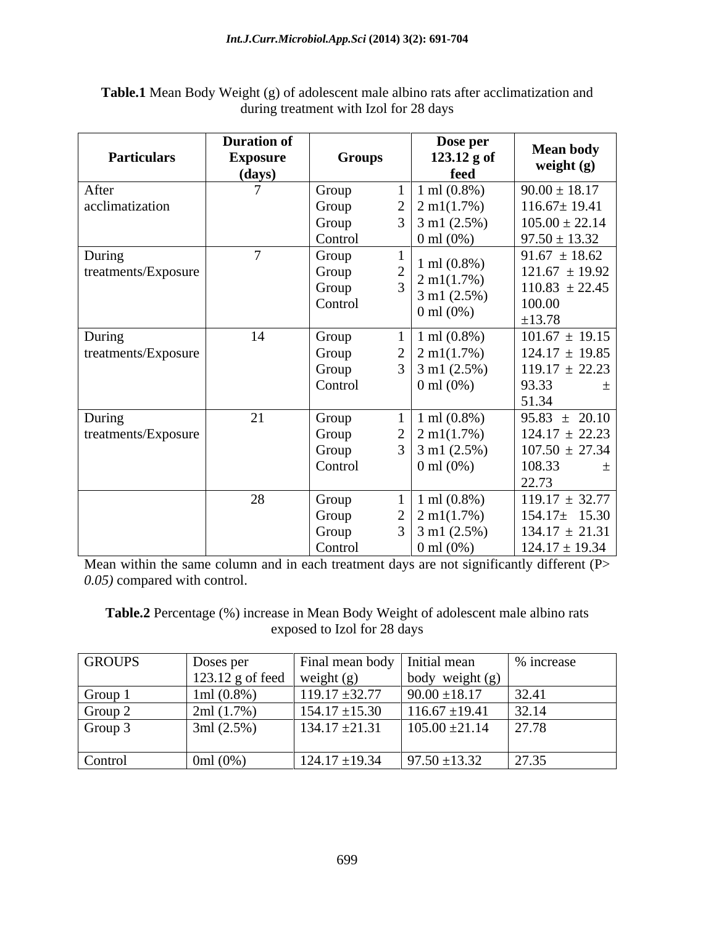| <b>Particulars</b>  | <b>Duration of</b><br><b>Exposure</b><br>(days) | Groups  | Dose per<br>123.12 g of<br>feed | <b>Mean body</b><br>weight (g) |
|---------------------|-------------------------------------------------|---------|---------------------------------|--------------------------------|
| After               |                                                 | Group   | 1 ml $(0.8\%)$                  | $90.00 \pm 18.17$              |
| acclimatization     |                                                 | Group   | $2 \mid 2 \text{ m}1(1.7\%)$    | $116.67 \pm 19.41$             |
|                     |                                                 | Group   | $3 \mid 3 \text{ ml} (2.5\%)$   | $105.00 \pm 22.14$             |
|                     |                                                 | Control | 0 ml $(0\%)$                    | $97.50 \pm 13.32$              |
| During              |                                                 | Group   | 1 ml $(0.8\%)$                  | $91.67 \pm 18.62$              |
| treatments/Exposure |                                                 | Group   | $2 \text{ m}1(1.7\%)$           | $121.67 \pm 19.92$             |
|                     |                                                 | Group   | $3 \text{ m}1 (2.5\%)$          | $110.83 \pm 22.45$             |
|                     |                                                 | Control | 0 ml $(0\%)$                    | 100.00                         |
|                     |                                                 |         |                                 | $\pm 13.78$                    |
| During              | 14                                              | Group   | $1 \text{ ml } (0.8\%)$         | $101.67 \pm 19.15$             |
| treatments/Exposure |                                                 | Group   | $2 \mid 2 \text{ m}1(1.7\%)$    | $124.17 \pm 19.85$             |
|                     |                                                 | Group   | $3 \mid 3 \text{ ml} (2.5\%)$   | $119.17 \pm 22.23$             |
|                     |                                                 | Control | 0 ml $(0\%)$                    | 93.33                          |
|                     |                                                 |         |                                 | 51.34                          |
| During              | 21                                              | Group   | $1 \text{ ml } (0.8\%)$         | $95.83 \pm 20.10$              |
| treatments/Exposure |                                                 | Group   | $2 \mid 2 \text{ m}1(1.7\%)$    | $124.17 \pm 22.23$             |
|                     |                                                 | Group   | $3 \mid 3 \text{ m1} (2.5\%)$   | $107.50 \pm 27.34$             |
|                     |                                                 | Control | 0 ml $(0\%)$                    | 108.33                         |
|                     |                                                 |         |                                 | 22.73                          |
|                     | 28                                              | Group   | $1 \text{ ml} (0.8\%)$          | $119.17 \pm 32.77$             |
|                     |                                                 | Group   | $2 \mid 2 \text{ m}1(1.7\%)$    | $154.17 \pm 15.30$             |
|                     |                                                 | Group   | $3 \mid 3 \text{ ml} (2.5\%)$   | $134.17 \pm 21.31$             |
|                     |                                                 | Control | 0 ml $(0\%)$                    | $124.17 \pm 19.34$             |

**Table.1** Mean Body Weight (g) of adolescent male albino rats after acclimatization and during treatment with Izol for 28 days

Mean within the same column and in each treatment days are not significantly different (P> *0.05)* compared with control.

**Table.2** Percentage (%) increase in Mean Body Weight of adolescent male albino rats exposed to Izol for 28 days

| <b>GROUPS</b> | Doses per                   | Final mean body   Initial mean |                         | % increase |
|---------------|-----------------------------|--------------------------------|-------------------------|------------|
|               | 123.12 g of feed weight (g) |                                | $\vert$ body weight (g) |            |
| Group         | $1ml(0.8\%)$                | $119.17 \pm 32.77$             | $90.00 \pm 18.17$       | 32.41      |
| Group 2       | 2ml(1.7%)                   | $154.17 \pm 15.30$             | $116.67 \pm 19.41$      | 32.14      |
| Group 3       | 3ml $(2.5\%)$               | $134.17 \pm 21.31$             | $105.00 \pm 21.14$      | 27.78      |
| Control       | 0ml $(0\%)$                 | $124.17 \pm 19.34$             | $97.50 \pm 13.32$       | 27.35      |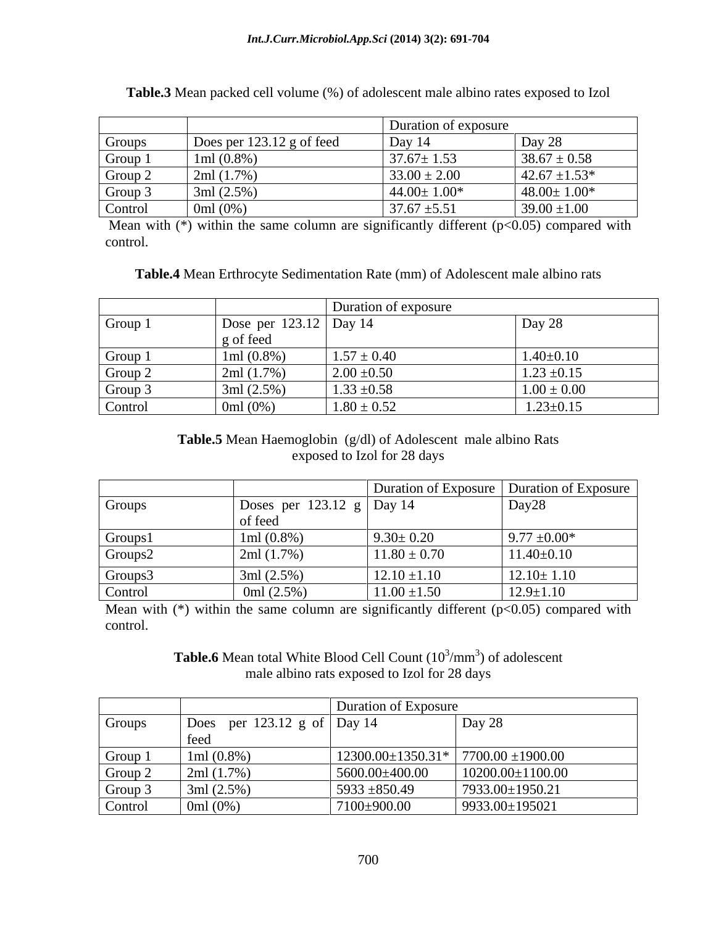|                              |                             | Duration of exposure |                   |
|------------------------------|-----------------------------|----------------------|-------------------|
| Groups                       | Does per $123.12$ g of feed | Day 14               | Day               |
| Group                        | 1ml(0.8%)                   | $37.67 \pm 1.53$     | $38.67 \pm 0.58$  |
| $\overline{G}$ Group 2       | 2ml(1.7%)                   | $33.00 \pm 2.00$     | $42.67 \pm 1.53*$ |
| $\sqrt{\frac{1}{1}}$ Group 3 | 3ml(2.5%)                   | $44.00 \pm 1.00^*$   | $48.00 \pm 1.00*$ |
| Control                      | $0m1(0\%)$                  | $37.67 \pm 5.51$     | $39.00 \pm 1.00$  |

#### **Table.3** Mean packed cell volume (%) of adolescent male albino rates exposed to Izol

Mean with  $(*)$  within the same column are significantly different  $(p<0.05)$  compared with control.

**Table.4** Mean Erthrocyte Sedimentation Rate (mm) of Adolescent male albino rats

|         |                        | Duration of exposure |                 |
|---------|------------------------|----------------------|-----------------|
| Group i | Dose per 123.12 Day 14 |                      | Day 28          |
|         | g of feed              |                      |                 |
| Group   | $1ml(0.8\%)$           | $1.57 \pm 0.40$      | $1.40 \pm 0.10$ |
| Group 2 | 2ml(1.7%)              | $2.00 \pm 0.50$      | $1.23 \pm 0.15$ |
| Group 3 | 3ml $(2.5\%)$          | $1.33 \pm 0.58$      | $1.00 \pm 0.00$ |
| Control | 0ml $(0\%)$            | $1.80 \pm 0.52$      | $1.23 \pm 0.15$ |

### **Table.5** Mean Haemoglobin (g/dl) of Adolescent male albino Rats exposed to Izol for 28 days

|         |                               |                  | Duration of Exposure   Duration of Exposure |
|---------|-------------------------------|------------------|---------------------------------------------|
| Groups  | Doses per 123.12 $g  $ Day 14 |                  | Day28                                       |
|         | of feed                       |                  |                                             |
| Groups1 | 1ml $(0.8\%)$                 | $9.30 \pm 0.20$  | $9.77 \pm 0.00*$                            |
| Groups2 | 2ml $(1.7\%)$                 | $11.80 \pm 0.70$ | $11.40 \pm 0.10$                            |
| Groups3 | 3ml(2.5%)                     | $12.10 \pm 1.10$ | $12.10 \pm 1.10$                            |
| Control | 0ml $(2.5\%)$                 | $11.00 \pm 1.50$ | $12.9 \pm 1.10$                             |

Mean with  $(*)$  within the same column are significantly different ( $p<0.05$ ) compared with control.

> **Table.6** Mean total White Blood Cell Count  $(10^3/\text{mm}^3)$  of adolescent  $\gamma$ mm<sup>3</sup>) of adolescent male albino rats exposed to Izol for 28 days

|                      |              | Duration of Exposure           |                        |
|----------------------|--------------|--------------------------------|------------------------|
| Groups               | Does         | per 123.12 g of $\vert$ Day 14 | Day 28                 |
|                      | teed         |                                |                        |
| Group                | $1ml(0.8\%)$ | $12300.00\pm1350.31*$          | $17700.00 \pm 1900.00$ |
| Group $2$            | 2ml(1.7%)    | 5600.00±400.00                 | $10200.00\pm1100.00$   |
| Group $\mathfrak{S}$ | 3ml(2.5%)    | $5933 \pm 850.49$              | 7933.00±1950.21        |
| Control              | 0ml (0%      | 7100±900.00                    | 9933.00±195021         |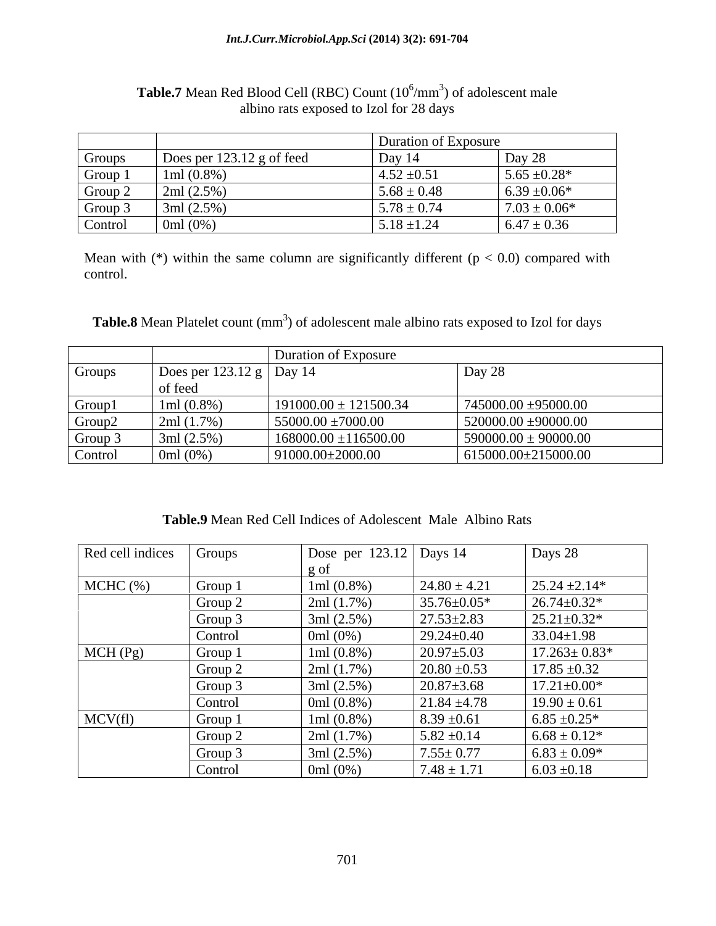|         |                             | Duration of Exposure |                   |
|---------|-----------------------------|----------------------|-------------------|
| Groups  | Does per $123.12$ g of feed | Day 14               | Day 28            |
| Group   | 1ml $(0.8\%)$               | $4.52 \pm 0.51$      | $5.65 \pm 0.28^*$ |
| Group 2 | 2ml $(2.5\%)$               | $5.68 \pm 0.48$      | $6.39 \pm 0.06*$  |
| Group : | 3ml (2.5%)                  | $5.78 \pm 0.74$      | $7.03 \pm 0.06*$  |
| Control | 0ml $(0\%)$                 | $5.18 \pm 1.24$      | $6.47 \pm 0.36$   |

### **Table.7** Mean Red Blood Cell (RBC) Count (10<sup>6</sup>/mm<sup>3</sup>) of adolescent male albino rats exposed to Izol for 28 days

Mean with  $(*)$  within the same column are significantly different ( $p < 0.0$ ) compared with control.

Table.8 Mean Platelet count (mm<sup>3</sup>) of adolescent male albino rats exposed to Izol for days

|         |                            | Duration of Exposure      |                          |
|---------|----------------------------|---------------------------|--------------------------|
| Groups  | Does per 123.12 g   Day 14 |                           | Day 28                   |
|         | of feed                    |                           |                          |
| Group1  | $1ml(0.8\%)$               | $191000.00 \pm 121500.34$ | 745000.00 ±95000.00      |
| Groupz  | 2ml(1.7%                   | $55000.00 \pm 7000.00$    | $520000.00 \pm 90000.00$ |
| Group : | 3ml(2.5%)                  | $168000.00 \pm 116500.00$ | $590000.00 \pm 90000.00$ |
| Control | 0m1(0%                     | $91000.00\pm2000.00$      | 615000.00±215000.00      |

**Table.9** Mean Red Cell Indices of Adolescent Male Albino Rats

| Red cell indices | Groups  | Dose per $123.12$ Days 14 |                   | Days 28            |
|------------------|---------|---------------------------|-------------------|--------------------|
| $MCHC$ (%)       | Group 1 |                           | $24.80 \pm 4.21$  | $25.24 \pm 2.14*$  |
|                  |         | 1ml $(0.8\%)$             |                   |                    |
|                  | Group 2 | 2ml(1.7%)                 | $35.76 \pm 0.05*$ | $26.74 \pm 0.32$ * |
|                  | Group 3 | 3ml(2.5%)                 | $27.53 \pm 2.83$  | $25.21 \pm 0.32^*$ |
|                  | Control | 0ml $(0%)$                | $29.24 \pm 0.40$  | $33.04 \pm 1.98$   |
| MCH(Pg)          | Group 1 | 1ml $(0.8\%)$             | $20.97 \pm 5.03$  | $17.263 \pm 0.83*$ |
|                  | Group 2 | 2ml(1.7%)                 | $20.80 \pm 0.53$  | $17.85 \pm 0.32$   |
|                  | Group 3 | 3ml(2.5%)                 | $20.87 \pm 3.68$  | $17.21 \pm 0.00*$  |
|                  | Control | 0ml $(0.8\%)$             | $21.84 \pm 4.78$  | $19.90 \pm 0.61$   |
| MCV(f)           | Group 1 | 1ml $(0.8\%)$             | $8.39 \pm 0.61$   | $6.85 \pm 0.25^*$  |
|                  | Group 2 | 2ml(1.7%)                 | $5.82 \pm 0.14$   | $6.68 \pm 0.12*$   |
|                  | Group 3 | 3ml(2.5%)                 | $7.55 \pm 0.77$   | $6.83 \pm 0.09*$   |
|                  | Control | 0ml $(0\%)$               | $7.48 \pm 1.71$   | $6.03 \pm 0.18$    |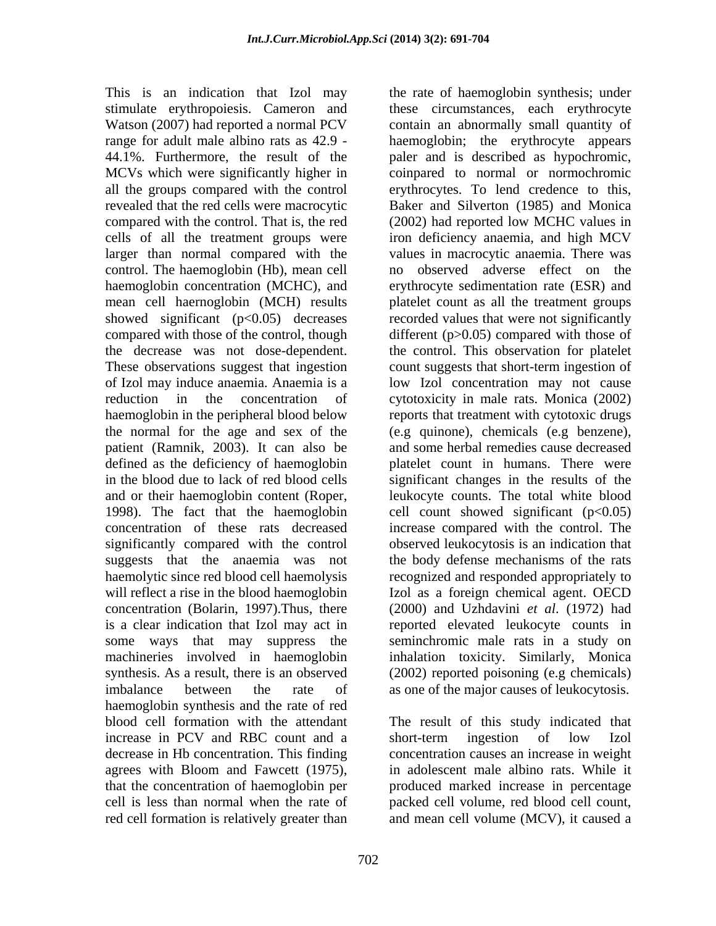This is an indication that Izol may the rate of haemoglobin synthesis; under stimulate erythropoiesis. Cameron and these circumstances, each erythrocyte Watson (2007) had reported a normal PCV contain an abnormally small quantity of range for adult male albino rats as 42.9 - haemoglobin; the erythrocyte appears 44.1%. Furthermore, the result of the paler and is described as hypochromic, MCVs which were significantly higher in coinpared to normal or normochromic all the groups compared with the control erythrocytes. To lend credence to this, revealed that the red cells were macrocytic Baker and Silverton (1985) and Monica compared with the control. That is, the red (2002) had reported low MCHC values in cells of all the treatment groups were iron deficiency anaemia, and high MCV larger than normal compared with the control. The haemoglobin (Hb), mean cell haemoglobin concentration (MCHC), and erythrocyte sedimentation rate (ESR) and mean cell haernoglobin (MCH) results platelet count as all the treatment groups showed significant (p<0.05) decreases recorded values that were not significantly compared with those of the control, though different (p>0.05) compared with those of the decrease was not dose-dependent. the control. This observation for platelet These observations suggest that ingestion count suggests that short-term ingestion of of Izol may induce anaemia. Anaemia is a low Izol concentration may not cause reduction in the concentration of cytotoxicity in male rats. Monica (2002) haemoglobin in the peripheral blood below reports that treatment with cytotoxic drugs the normal for the age and sex of the (e.g quinone), chemicals (e.g benzene), patient (Ramnik, 2003). It can also be defined as the deficiency of haemoglobin platelet count in humans. There were in the blood due to lack of red blood cells significant changes in the results of the and or their haemoglobin content (Roper, 1998). The fact that the haemoglobin cell count showed significant (p<0.05) concentration of these rats decreased increase compared with the control. The significantly compared with the control suggests that the anaemia was not the body defense mechanisms of the rats haemolytic since red blood cell haemolysis recognized and responded appropriately to will reflect a rise in the blood haemoglobin Izol as a foreign chemical agent. OECD concentration (Bolarin, 1997).Thus, there (2000) and Uzhdavini *et al*. (1972) had is a clear indication that Izol may act in reported elevated leukocyte counts in some ways that may suppress the machineries involved in haemoglobin inhalation toxicity. Similarly, Monica synthesis. As a result, there is an observed (2002) reported poisoning (e.g chemicals) imbalance between the rate of as one of the major causes of leukocytosis. haemoglobin synthesis and the rate of red blood cell formation with the attendant The result of this study indicated that increase in PCV and RBC count and a short-term ingestion of low Izol decrease in Hb concentration. This finding concentration causes an increase in weight agrees with Bloom and Fawcett (1975), that the concentration of haemoglobin per produced marked increase in percentage cell is less than normal when the rate of packed cell volume, red blood cell count, red cell formation is relatively greater than

values in macrocytic anaemia. There was no observed adverse effect on the and some herbal remedies cause decreased leukocyte counts. The total white blood observed leukocytosis is an indication that seminchromic male rats in a study on

short-term ingestion of low Izol in adolescent male albino rats. While it and mean cell volume (MCV), it caused a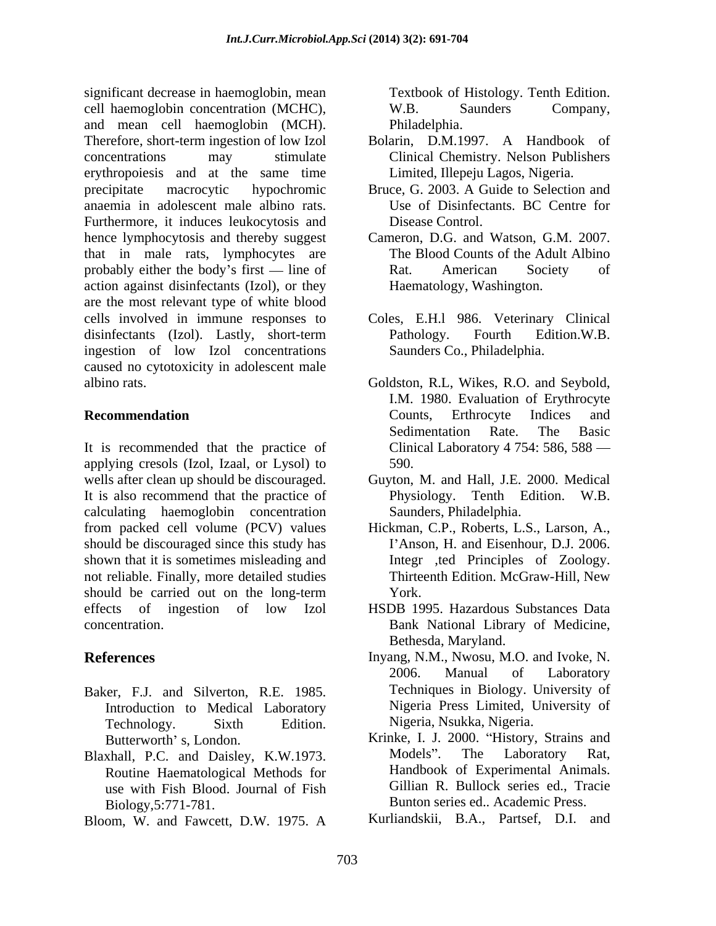significant decrease in haemoglobin, mean cell haemoglobin concentration (MCHC), and mean cell haemoglobin (MCH). Therefore, short-term ingestion of low Izol Bolarin, D.M.1997. A Handbook of concentrations may stimulate Clinical Chemistry. Nelson Publishers erythropoiesis and at the same time precipitate macrocytic hypochromic Bruce, G. 2003. A Guide to Selection and anaemia in adolescent male albino rats. Furthermore, it induces leukocytosis and hence lymphocytosis and thereby suggest that in male rats, lymphocytes are probably either the body's first — line of Rat. American Society of action against disinfectants (Izol), or they are the most relevant type of white blood cells involved in immune responses to Coles, E.H.l 986. Veterinary Clinical disinfectants (Izol). Lastly, short-term Pathology. Fourth Edition.W.B. ingestion of low Izol concentrations caused no cytotoxicity in adolescent male albino rats. Goldston, R.L, Wikes, R.O. and Seybold,

It is recommended that the practice of applying cresols (Izol, Izaal, or Lysol) to wells after clean up should be discouraged. It is also recommend that the practice of calculating haemoglobin concentration from packed cell volume (PCV) values Hickman, C.P., Roberts, L.S., Larson, A., should be discouraged since this study has shown that it is sometimes misleading and not reliable. Finally, more detailed studies Thirteenth Edition. McGraw-Hill, New should be carried out on the long-term York. effects of ingestion of low Izol HSDB 1995. Hazardous Substances Data

- Baker, F.J. and Silverton, R.E. 1985. Introduction to Medical Laboratory Technology. Sixth Edition.
- Routine Haematological Methods for use with Fish Blood. Journal of Fish
- Bloom, W. and Fawcett, D.W. 1975. A

Textbook of Histology. Tenth Edition. W.B. Saunders Company, Philadelphia.

- Limited, Illepeju Lagos, Nigeria.
- Use of Disinfectants. BC Centre for Disease Control.
- Cameron, D.G. and Watson, G.M. 2007. The Blood Counts of the Adult Albino Rat. American Society of Haematology, Washington.
- Pathology. Fourth Edition.W.B. Saunders Co., Philadelphia.
- **Recommendation** Counts, Erthrocyte Indices and I.M. 1980. Evaluation of Erythrocyte Counts, Erthrocyte Indices and Sedimentation Rate. The Basic Clinical Laboratory 4 754: 586, 588 590.
	- Guyton, M. and Hall, J.E. 2000. Medical Physiology. Tenth Edition. W.B. Saunders, Philadelphia.
	- I'Anson, H. and Eisenhour, D.J. 2006. Integr ,ted Principles of Zoology. Thirteenth Edition. McGraw-Hill, New York.
- concentration. Bank National Library of Medicine, HSDB 1995. Hazardous Substances Data Bethesda, Maryland.
- **References** Inyang, N.M., Nwosu, M.O. and Ivoke, N. 2006. Manual of Laboratory Techniques in Biology. University of Nigeria Press Limited, University of Nigeria, Nsukka, Nigeria.
- Butterworth's, London. Krinke, I. J. 2000. "History, Strains and Blaxhall, P.C. and Daisley, K.W.1973. Models". The Laboratory Rat, Biology,5:771-781. Bunton series ed.. Academic Press. Models". The Laboratory Rat, Handbook of Experimental Animals. Gillian R. Bullock series ed., Tracie
	- Kurliandskii, B.A., Partsef, D.I. and